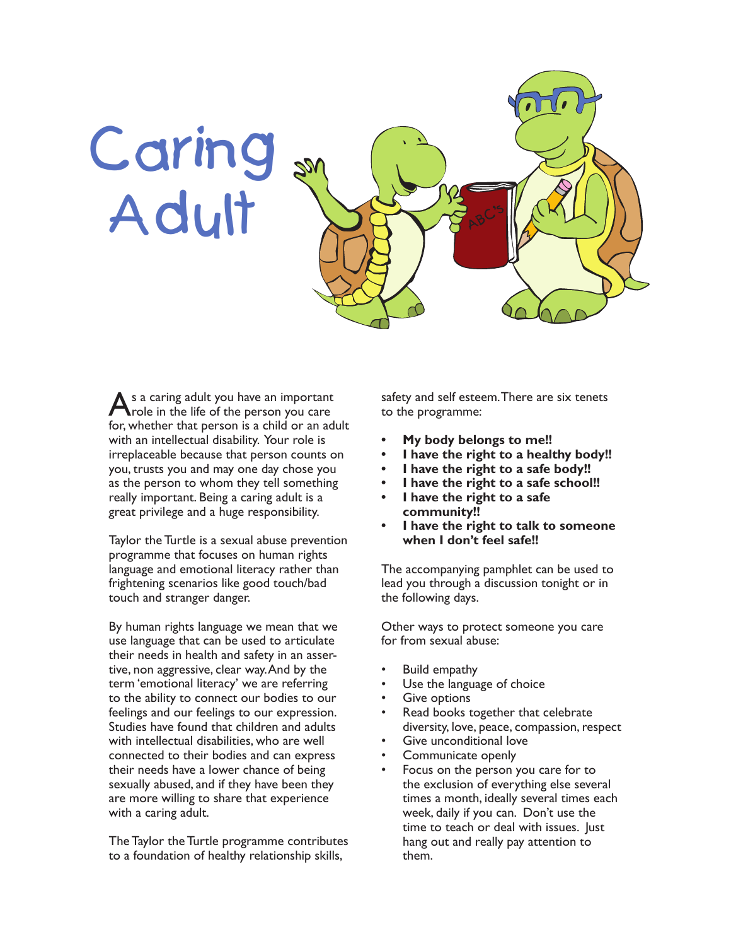

s a caring adult you have an important role in the life of the person you care for, whether that person is a child or an adult with an intellectual disability. Your role is irreplaceable because that person counts on you, trusts you and may one day chose you as the person to whom they tell something really important. Being a caring adult is a great privilege and a huge responsibility.

Taylor the Turtle is a sexual abuse prevention programme that focuses on human rights language and emotional literacy rather than frightening scenarios like good touch/bad touch and stranger danger.

By human rights language we mean that we use language that can be used to articulate their needs in health and safety in an assertive, non aggressive, clear way. And by the term 'emotional literacy' we are referring to the ability to connect our bodies to our feelings and our feelings to our expression. Studies have found that children and adults with intellectual disabilities, who are well connected to their bodies and can express their needs have a lower chance of being sexually abused, and if they have been they are more willing to share that experience with a caring adult.

The Taylor the Turtle programme contributes to a foundation of healthy relationship skills,

safety and self esteem. There are six tenets to the programme:

- **• My body belongs to me!!**
- **• I have the right to a healthy body!!**
- **• I have the right to a safe body!!**
- **• I have the right to a safe school!!**
- **• I have the right to a safe community!!**
- **• I have the right to talk to someone when I don't feel safe!!**

The accompanying pamphlet can be used to lead you through a discussion tonight or in the following days.

Other ways to protect someone you care for from sexual abuse:

- Build empathy
- Use the language of choice
- **Give options**
- Read books together that celebrate diversity, love, peace, compassion, respect
- Give unconditional love
- Communicate openly
- Focus on the person you care for to the exclusion of everything else several times a month, ideally several times each week, daily if you can. Don't use the time to teach or deal with issues. Just hang out and really pay attention to them.